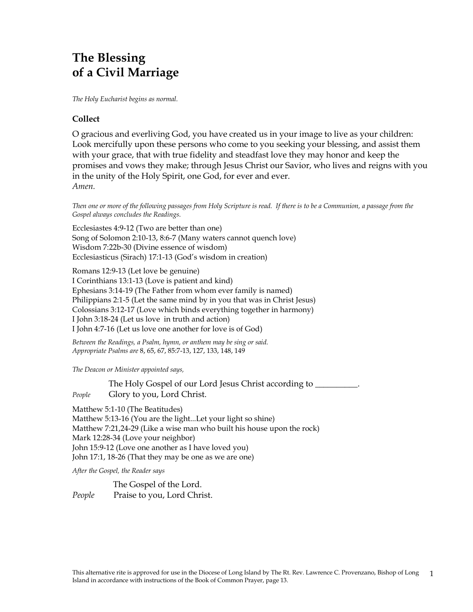# **The Blessing of a Civil Marriage**

*The Holy Eucharist begins as normal.*

## **Collect**

O gracious and everliving God, you have created us in your image to live as your children: Look mercifully upon these persons who come to you seeking your blessing, and assist them with your grace, that with true fidelity and steadfast love they may honor and keep the promises and vows they make; through Jesus Christ our Savior, who lives and reigns with you in the unity of the Holy Spirit, one God, for ever and ever. *Amen.*

*Then one or more of the following passages from Holy Scripture is read. If there is to be a Communion, a passage from the Gospel always concludes the Readings.*

Ecclesiastes 4:9-12 (Two are better than one) Song of Solomon 2:10-13, 8:6-7 (Many waters cannot quench love) Wisdom 7:22b-30 (Divine essence of wisdom) Ecclesiasticus (Sirach) 17:1-13 (God's wisdom in creation)

Romans 12:9-13 (Let love be genuine) I Corinthians 13:1-13 (Love is patient and kind) Ephesians 3:14-19 (The Father from whom ever family is named) Philippians 2:1-5 (Let the same mind by in you that was in Christ Jesus) Colossians 3:12-17 (Love which binds everything together in harmony) I John 3:18-24 (Let us love in truth and action) I John 4:7-16 (Let us love one another for love is of God)

*Between the Readings, a Psalm, hymn, or anthem may be sing or said. Appropriate Psalms are* 8, 65, 67, 85:7-13, 127, 133, 148, 149

*The Deacon or Minister appointed says,*

The Holy Gospel of our Lord Jesus Christ according to \_\_\_\_\_\_\_\_\_\_\_\_\_\_\_\_\_\_\_\_\_\_\_\_\_\_\_ *People* Glory to you, Lord Christ.

Matthew 5:1-10 (The Beatitudes) Matthew 5:13-16 (You are the light...Let your light so shine) Matthew 7:21,24-29 (Like a wise man who built his house upon the rock) Mark 12:28-34 (Love your neighbor) John 15:9-12 (Love one another as I have loved you) John 17:1, 18-26 (That they may be one as we are one)

*After the Gospel, the Reader says*

 The Gospel of the Lord. *People* Praise to you, Lord Christ.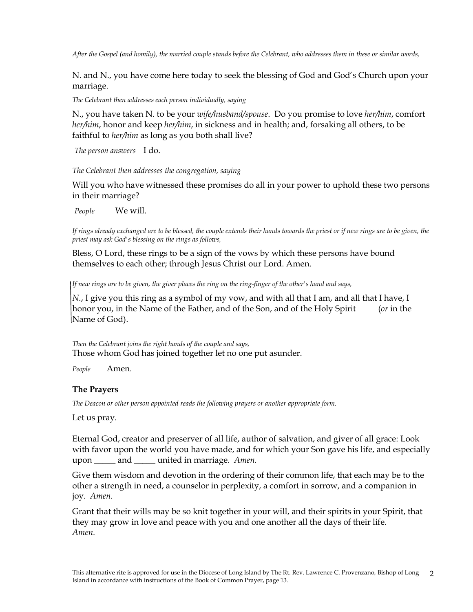*After the Gospel (and homily), the married couple stands before the Celebrant, who addresses them in these or similar words,*

N. and N., you have come here today to seek the blessing of God and God's Church upon your marriage.

*The Celebrant then addresses each person individually, saying*

N., you have taken N. to be your *wife/husband/spouse*. Do you promise to love *her/him*, comfort *her/him*, honor and keep *her/him*, in sickness and in health; and, forsaking all others, to be faithful to *her/him* as long as you both shall live?

*The person answers* I do.

*The Celebrant then addresses the congregation, saying*

Will you who have witnessed these promises do all in your power to uphold these two persons in their marriage?

*People* We will.

*If rings already exchanged are to be blessed, the couple extends their hands towards the priest or if new rings are to be given, the priest may ask God's blessing on the rings as follows,*

Bless, O Lord, these rings to be a sign of the vows by which these persons have bound themselves to each other; through Jesus Christ our Lord. Amen.

*If new rings are to be given, the giver places the ring on the ring-finger of the other's hand and says,*

*N.*, I give you this ring as a symbol of my vow, and with all that I am, and all that I have, I honor you, in the Name of the Father, and of the Son, and of the Holy Spirit (*or* in the Name of God).

*Then the Celebrant joins the right hands of the couple and says,* Those whom God has joined together let no one put asunder.

*People* Amen.

## **The Prayers**

*The Deacon or other person appointed reads the following prayers or another appropriate form.*

Let us pray.

Eternal God, creator and preserver of all life, author of salvation, and giver of all grace: Look with favor upon the world you have made, and for which your Son gave his life, and especially upon \_\_\_\_\_ and \_\_\_\_\_ united in marriage. *Amen.*

Give them wisdom and devotion in the ordering of their common life, that each may be to the other a strength in need, a counselor in perplexity, a comfort in sorrow, and a companion in joy. *Amen.*

Grant that their wills may be so knit together in your will, and their spirits in your Spirit, that they may grow in love and peace with you and one another all the days of their life. *Amen.*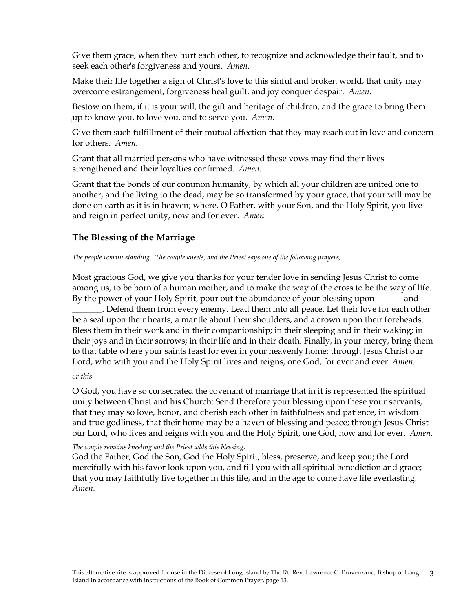Give them grace, when they hurt each other, to recognize and acknowledge their fault, and to seek each other's forgiveness and yours. *Amen.*

Make their life together a sign of Christ's love to this sinful and broken world, that unity may overcome estrangement, forgiveness heal guilt, and joy conquer despair. *Amen.*

Bestow on them, if it is your will, the gift and heritage of children, and the grace to bring them up to know you, to love you, and to serve you. *Amen.*

Give them such fulfillment of their mutual affection that they may reach out in love and concern for others. *Amen.* 

Grant that all married persons who have witnessed these vows may find their lives strengthened and their loyalties confirmed. *Amen.*

Grant that the bonds of our common humanity, by which all your children are united one to another, and the living to the dead, may be so transformed by your grace, that your will may be done on earth as it is in heaven; where, O Father, with your Son, and the Holy Spirit, you live and reign in perfect unity, now and for ever. *Amen.*

# **The Blessing of the Marriage**

*The people remain standing. The couple kneels, and the Priest says one of the following prayers,*

Most gracious God, we give you thanks for your tender love in sending Jesus Christ to come among us, to be born of a human mother, and to make the way of the cross to be the way of life. By the power of your Holy Spirit, pour out the abundance of your blessing upon \_\_\_\_\_\_\_ and

\_\_\_\_\_\_\_. Defend them from every enemy. Lead them into all peace. Let their love for each other be a seal upon their hearts, a mantle about their shoulders, and a crown upon their foreheads. Bless them in their work and in their companionship; in their sleeping and in their waking; in their joys and in their sorrows; in their life and in their death. Finally, in your mercy, bring them to that table where your saints feast for ever in your heavenly home; through Jesus Christ our Lord, who with you and the Holy Spirit lives and reigns, one God, for ever and ever. *Amen.*

#### *or this*

O God, you have so consecrated the covenant of marriage that in it is represented the spiritual unity between Christ and his Church: Send therefore your blessing upon these your servants, that they may so love, honor, and cherish each other in faithfulness and patience, in wisdom and true godliness, that their home may be a haven of blessing and peace; through Jesus Christ our Lord, who lives and reigns with you and the Holy Spirit, one God, now and for ever. *Amen.*

## *The couple remains kneeling and the Priest adds this blessing,*

God the Father, God the Son, God the Holy Spirit, bless, preserve, and keep you; the Lord mercifully with his favor look upon you, and fill you with all spiritual benediction and grace; that you may faithfully live together in this life, and in the age to come have life everlasting. *Amen.*